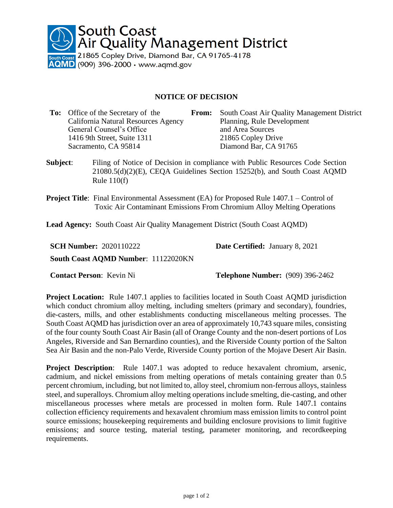

## **NOTICE OF DECISION**

| <b>To:</b> Office of the Secretary of the | <b>From:</b> | South Coast Air Quality Management District |
|-------------------------------------------|--------------|---------------------------------------------|
| California Natural Resources Agency       |              | Planning, Rule Development                  |
| General Counsel's Office                  |              | and Area Sources                            |
| 1416 9th Street, Suite 1311               |              | 21865 Copley Drive                          |
| Sacramento, CA 95814                      |              | Diamond Bar, CA 91765                       |
|                                           |              |                                             |

- **Subject**: Filing of Notice of Decision in compliance with Public Resources Code Section 21080.5(d)(2)(E), CEQA Guidelines Section 15252(b), and South Coast AQMD Rule 110(f)
- **Project Title:** Final Environmental Assessment (EA) for Proposed Rule 1407.1 Control of Toxic Air Contaminant Emissions From Chromium Alloy Melting Operations

**Lead Agency:** South Coast Air Quality Management District (South Coast AQMD)

| <b>SCH Number: 2020110222</b>              | <b>Date Certified:</b> January 8, 2021 |
|--------------------------------------------|----------------------------------------|
| <b>South Coast AQMD Number: 11122020KN</b> |                                        |

**Contact Person**: Kevin Ni **Telephone Number:** (909) 396-2462

**Project Location:** Rule 1407.1 applies to facilities located in South Coast AQMD jurisdiction which conduct chromium alloy melting, including smelters (primary and secondary), foundries, die-casters, mills, and other establishments conducting miscellaneous melting processes. The South Coast AQMD has jurisdiction over an area of approximately 10,743 square miles, consisting of the four county South Coast Air Basin (all of Orange County and the non-desert portions of Los Angeles, Riverside and San Bernardino counties), and the Riverside County portion of the Salton Sea Air Basin and the non-Palo Verde, Riverside County portion of the Mojave Desert Air Basin.

**Project Description:** Rule 1407.1 was adopted to reduce hexavalent chromium, arsenic, cadmium, and nickel emissions from melting operations of metals containing greater than 0.5 percent chromium, including, but not limited to, alloy steel, chromium non-ferrous alloys, stainless steel, and superalloys. Chromium alloy melting operations include smelting, die-casting, and other miscellaneous processes where metals are processed in molten form. Rule 1407.1 contains collection efficiency requirements and hexavalent chromium mass emission limits to control point source emissions; housekeeping requirements and building enclosure provisions to limit fugitive emissions; and source testing, material testing, parameter monitoring, and recordkeeping requirements.